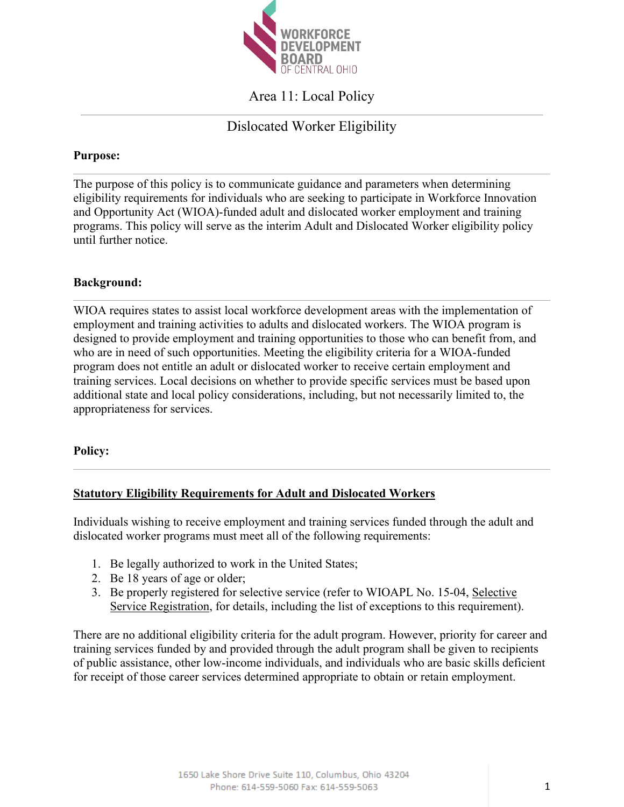

Area 11: Local Policy

# Dislocated Worker Eligibility

### **Purpose:**

The purpose of this policy is to communicate guidance and parameters when determining eligibility requirements for individuals who are seeking to participate in Workforce Innovation and Opportunity Act (WIOA)-funded adult and dislocated worker employment and training programs. This policy will serve as the interim Adult and Dislocated Worker eligibility policy until further notice.

### **Background:**

WIOA requires states to assist local workforce development areas with the implementation of employment and training activities to adults and dislocated workers. The WIOA program is designed to provide employment and training opportunities to those who can benefit from, and who are in need of such opportunities. Meeting the eligibility criteria for a WIOA-funded program does not entitle an adult or dislocated worker to receive certain employment and training services. Local decisions on whether to provide specific services must be based upon additional state and local policy considerations, including, but not necessarily limited to, the appropriateness for services.

### **Policy:**

## **Statutory Eligibility Requirements for Adult and Dislocated Workers**

Individuals wishing to receive employment and training services funded through the adult and dislocated worker programs must meet all of the following requirements:

- 1. Be legally authorized to work in the United States;
- 2. Be 18 years of age or older;
- 3. Be properly registered for selective service (refer to WIOAPL No. 15-04, Selective Service Registration, for details, including the list of exceptions to this requirement).

There are no additional eligibility criteria for the adult program. However, priority for career and training services funded by and provided through the adult program shall be given to recipients of public assistance, other low-income individuals, and individuals who are basic skills deficient for receipt of those career services determined appropriate to obtain or retain employment.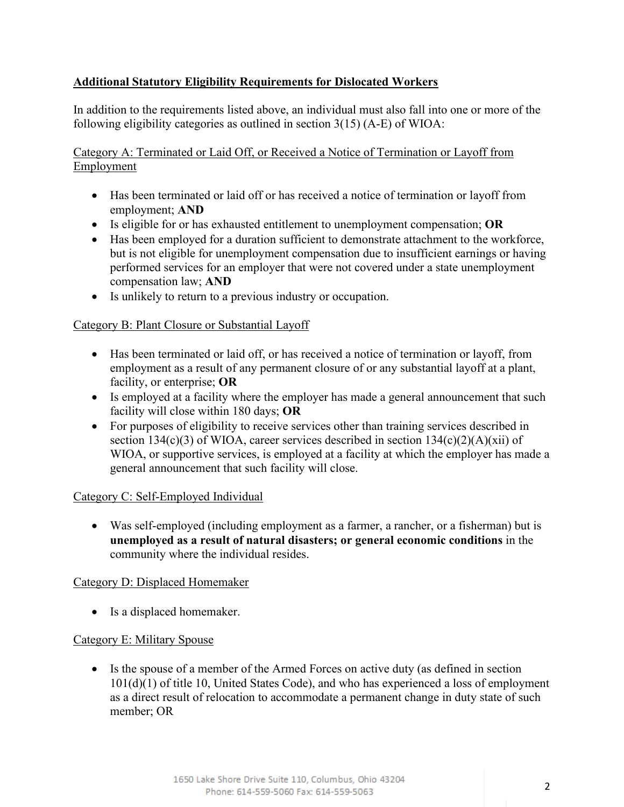## **Additional Statutory Eligibility Requirements for Dislocated Workers**

In addition to the requirements listed above, an individual must also fall into one or more of the following eligibility categories as outlined in section 3(15) (A-E) of WIOA:

Category A: Terminated or Laid Off, or Received a Notice of Termination or Layoff from Employment

- Has been terminated or laid off or has received a notice of termination or layoff from employment; **AND**
- Is eligible for or has exhausted entitlement to unemployment compensation; **OR**
- Has been employed for a duration sufficient to demonstrate attachment to the workforce, but is not eligible for unemployment compensation due to insufficient earnings or having performed services for an employer that were not covered under a state unemployment compensation law; **AND**
- Is unlikely to return to a previous industry or occupation.

### Category B: Plant Closure or Substantial Layoff

- Has been terminated or laid off, or has received a notice of termination or layoff, from employment as a result of any permanent closure of or any substantial layoff at a plant, facility, or enterprise; **OR**
- Is employed at a facility where the employer has made a general announcement that such facility will close within 180 days; **OR**
- For purposes of eligibility to receive services other than training services described in section 134(c)(3) of WIOA, career services described in section  $134(c)(2)(A)(xii)$  of WIOA, or supportive services, is employed at a facility at which the employer has made a general announcement that such facility will close.

### Category C: Self-Employed Individual

• Was self-employed (including employment as a farmer, a rancher, or a fisherman) but is **unemployed as a result of natural disasters; or general economic conditions** in the community where the individual resides.

### Category D: Displaced Homemaker

• Is a displaced homemaker.

### Category E: Military Spouse

• Is the spouse of a member of the Armed Forces on active duty (as defined in section 101(d)(1) of title 10, United States Code), and who has experienced a loss of employment as a direct result of relocation to accommodate a permanent change in duty state of such member; OR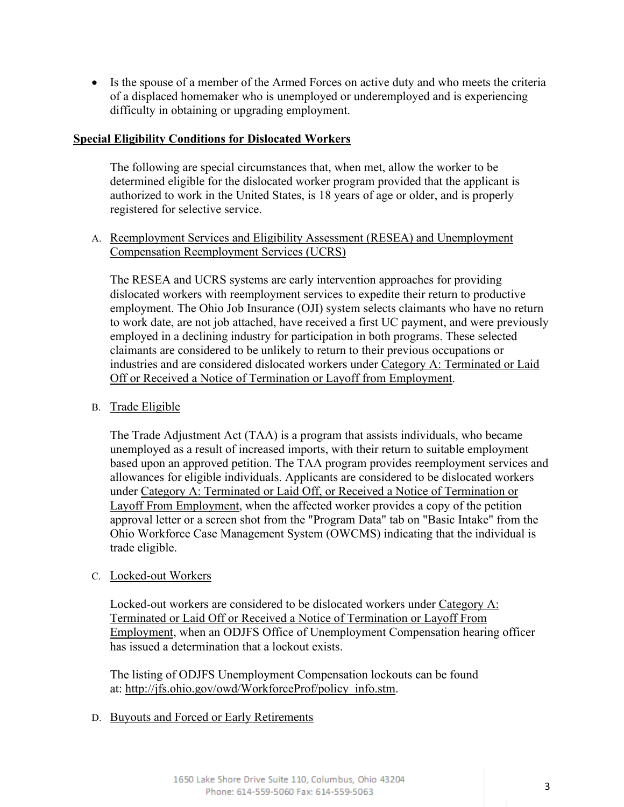• Is the spouse of a member of the Armed Forces on active duty and who meets the criteria of a displaced homemaker who is unemployed or underemployed and is experiencing difficulty in obtaining or upgrading employment.

#### **Special Eligibility Conditions for Dislocated Workers**

The following are special circumstances that, when met, allow the worker to be determined eligible for the dislocated worker program provided that the applicant is authorized to work in the United States, is 18 years of age or older, and is properly registered for selective service.

A. Reemployment Services and Eligibility Assessment (RESEA) and Unemployment Compensation Reemployment Services (UCRS)

The RESEA and UCRS systems are early intervention approaches for providing dislocated workers with reemployment services to expedite their return to productive employment. The Ohio Job Insurance (OJI) system selects claimants who have no return to work date, are not job attached, have received a first UC payment, and were previously employed in a declining industry for participation in both programs. These selected claimants are considered to be unlikely to return to their previous occupations or industries and are considered dislocated workers under Category A: Terminated or Laid Off or Received a Notice of Termination or Layoff from Employment.

B. Trade Eligible

The Trade Adjustment Act (TAA) is a program that assists individuals, who became unemployed as a result of increased imports, with their return to suitable employment based upon an approved petition. The TAA program provides reemployment services and allowances for eligible individuals. Applicants are considered to be dislocated workers under Category A: Terminated or Laid Off, or Received a Notice of Termination or Layoff From Employment, when the affected worker provides a copy of the petition approval letter or a screen shot from the "Program Data" tab on "Basic Intake" from the Ohio Workforce Case Management System (OWCMS) indicating that the individual is trade eligible.

#### C. Locked-out Workers

Locked-out workers are considered to be dislocated workers under Category A: Terminated or Laid Off or Received a Notice of Termination or Layoff From Employment, when an ODJFS Office of Unemployment Compensation hearing officer has issued a determination that a lockout exists.

The listing of ODJFS Unemployment Compensation lockouts can be found at: [http://jfs.ohio.gov/owd/WorkforceProf/policy\\_info.stm.](http://jfs.ohio.gov/owd/WorkforceProf/policy_info.stm)

D. Buyouts and Forced or Early Retirements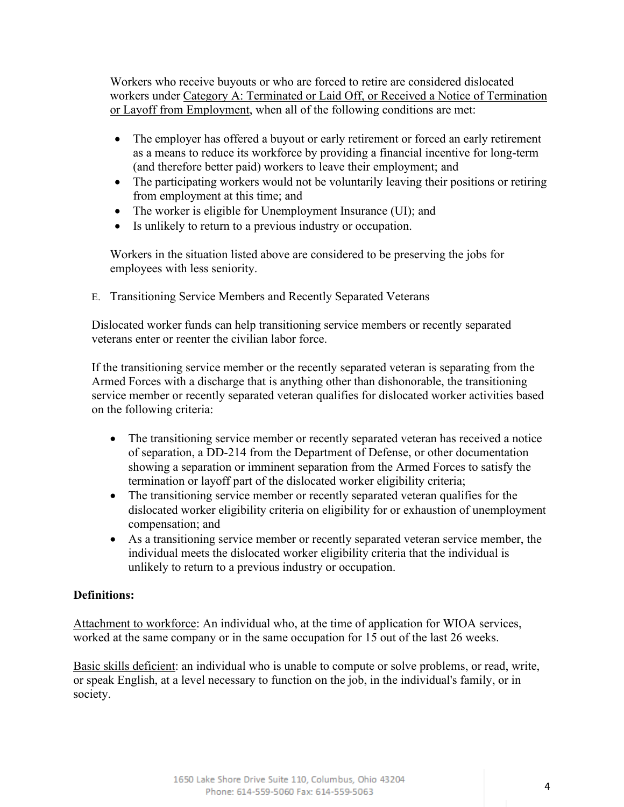Workers who receive buyouts or who are forced to retire are considered dislocated workers under Category A: Terminated or Laid Off, or Received a Notice of Termination or Layoff from Employment, when all of the following conditions are met:

- The employer has offered a buyout or early retirement or forced an early retirement as a means to reduce its workforce by providing a financial incentive for long-term (and therefore better paid) workers to leave their employment; and
- The participating workers would not be voluntarily leaving their positions or retiring from employment at this time; and
- The worker is eligible for Unemployment Insurance (UI); and
- Is unlikely to return to a previous industry or occupation.

Workers in the situation listed above are considered to be preserving the jobs for employees with less seniority.

E. Transitioning Service Members and Recently Separated Veterans

Dislocated worker funds can help transitioning service members or recently separated veterans enter or reenter the civilian labor force.

If the transitioning service member or the recently separated veteran is separating from the Armed Forces with a discharge that is anything other than dishonorable, the transitioning service member or recently separated veteran qualifies for dislocated worker activities based on the following criteria:

- The transitioning service member or recently separated veteran has received a notice of separation, a DD-214 from the Department of Defense, or other documentation showing a separation or imminent separation from the Armed Forces to satisfy the termination or layoff part of the dislocated worker eligibility criteria;
- The transitioning service member or recently separated veteran qualifies for the dislocated worker eligibility criteria on eligibility for or exhaustion of unemployment compensation; and
- As a transitioning service member or recently separated veteran service member, the individual meets the dislocated worker eligibility criteria that the individual is unlikely to return to a previous industry or occupation.

## **Definitions:**

Attachment to workforce: An individual who, at the time of application for WIOA services, worked at the same company or in the same occupation for 15 out of the last 26 weeks.

Basic skills deficient: an individual who is unable to compute or solve problems, or read, write, or speak English, at a level necessary to function on the job, in the individual's family, or in society.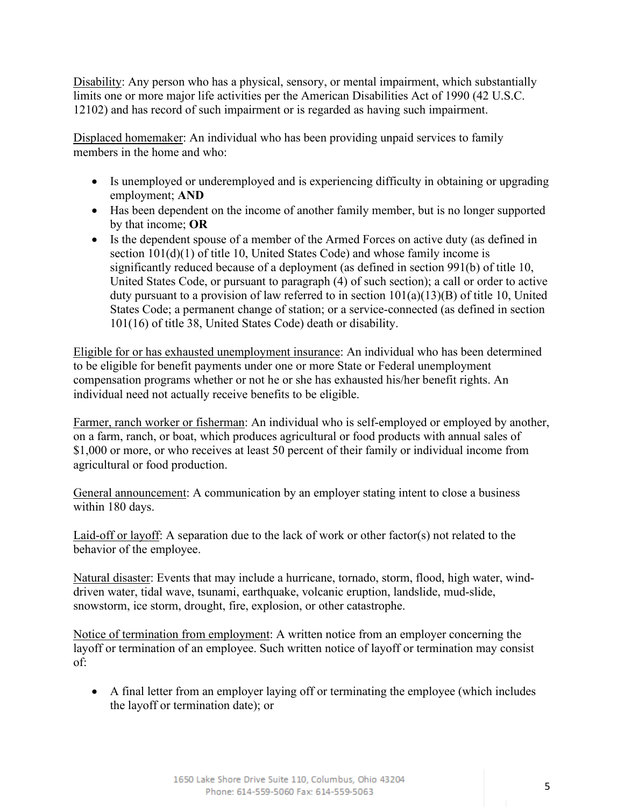Disability: Any person who has a physical, sensory, or mental impairment, which substantially limits one or more major life activities per the American Disabilities Act of 1990 (42 U.S.C. 12102) and has record of such impairment or is regarded as having such impairment.

Displaced homemaker: An individual who has been providing unpaid services to family members in the home and who:

- Is unemployed or underemployed and is experiencing difficulty in obtaining or upgrading employment; **AND**
- Has been dependent on the income of another family member, but is no longer supported by that income; **OR**
- Is the dependent spouse of a member of the Armed Forces on active duty (as defined in section  $101(d)(1)$  of title 10, United States Code) and whose family income is significantly reduced because of a deployment (as defined in section 991(b) of title 10, United States Code, or pursuant to paragraph (4) of such section); a call or order to active duty pursuant to a provision of law referred to in section 101(a)(13)(B) of title 10, United States Code; a permanent change of station; or a service-connected (as defined in section 101(16) of title 38, United States Code) death or disability.

Eligible for or has exhausted unemployment insurance: An individual who has been determined to be eligible for benefit payments under one or more State or Federal unemployment compensation programs whether or not he or she has exhausted his/her benefit rights. An individual need not actually receive benefits to be eligible.

Farmer, ranch worker or fisherman: An individual who is self-employed or employed by another, on a farm, ranch, or boat, which produces agricultural or food products with annual sales of \$1,000 or more, or who receives at least 50 percent of their family or individual income from agricultural or food production.

General announcement: A communication by an employer stating intent to close a business within 180 days.

Laid-off or layoff: A separation due to the lack of work or other factor(s) not related to the behavior of the employee.

Natural disaster: Events that may include a hurricane, tornado, storm, flood, high water, winddriven water, tidal wave, tsunami, earthquake, volcanic eruption, landslide, mud-slide, snowstorm, ice storm, drought, fire, explosion, or other catastrophe.

Notice of termination from employment: A written notice from an employer concerning the layoff or termination of an employee. Such written notice of layoff or termination may consist of:

• A final letter from an employer laying off or terminating the employee (which includes the layoff or termination date); or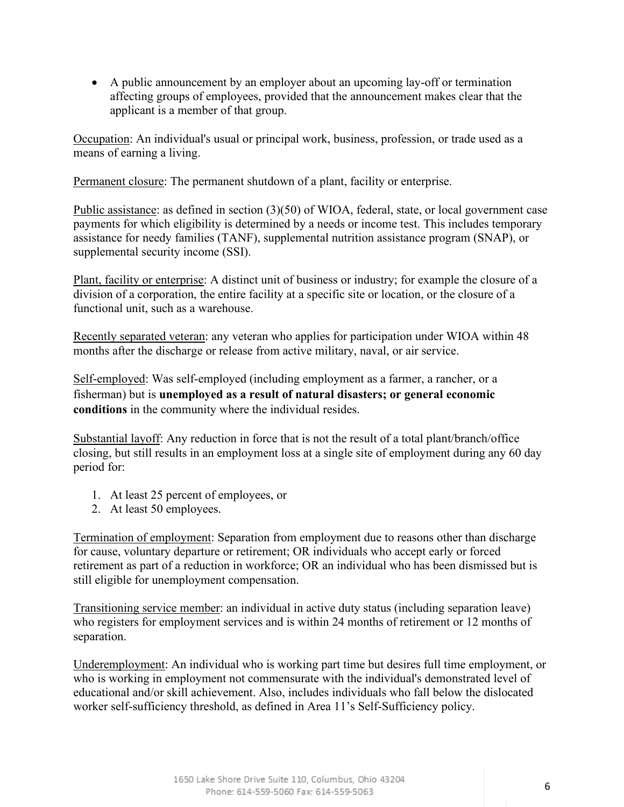• A public announcement by an employer about an upcoming lay-off or termination affecting groups of employees, provided that the announcement makes clear that the applicant is a member of that group.

Occupation: An individual's usual or principal work, business, profession, or trade used as a means of earning a living.

Permanent closure: The permanent shutdown of a plant, facility or enterprise.

Public assistance: as defined in section (3)(50) of WIOA, federal, state, or local government case payments for which eligibility is determined by a needs or income test. This includes temporary assistance for needy families (TANF), supplemental nutrition assistance program (SNAP), or supplemental security income (SSI).

Plant, facility or enterprise: A distinct unit of business or industry; for example the closure of a division of a corporation, the entire facility at a specific site or location, or the closure of a functional unit, such as a warehouse.

Recently separated veteran: any veteran who applies for participation under WIOA within 48 months after the discharge or release from active military, naval, or air service.

Self-employed: Was self-employed (including employment as a farmer, a rancher, or a fisherman) but is **unemployed as a result of natural disasters; or general economic conditions** in the community where the individual resides.

Substantial layoff: Any reduction in force that is not the result of a total plant/branch/office closing, but still results in an employment loss at a single site of employment during any 60 day period for:

- 1. At least 25 percent of employees, or
- 2. At least 50 employees.

Termination of employment: Separation from employment due to reasons other than discharge for cause, voluntary departure or retirement; OR individuals who accept early or forced retirement as part of a reduction in workforce; OR an individual who has been dismissed but is still eligible for unemployment compensation.

Transitioning service member: an individual in active duty status (including separation leave) who registers for employment services and is within 24 months of retirement or 12 months of separation.

Underemployment: An individual who is working part time but desires full time employment, or who is working in employment not commensurate with the individual's demonstrated level of educational and/or skill achievement. Also, includes individuals who fall below the dislocated worker self-sufficiency threshold, as defined in Area 11's Self-Sufficiency policy.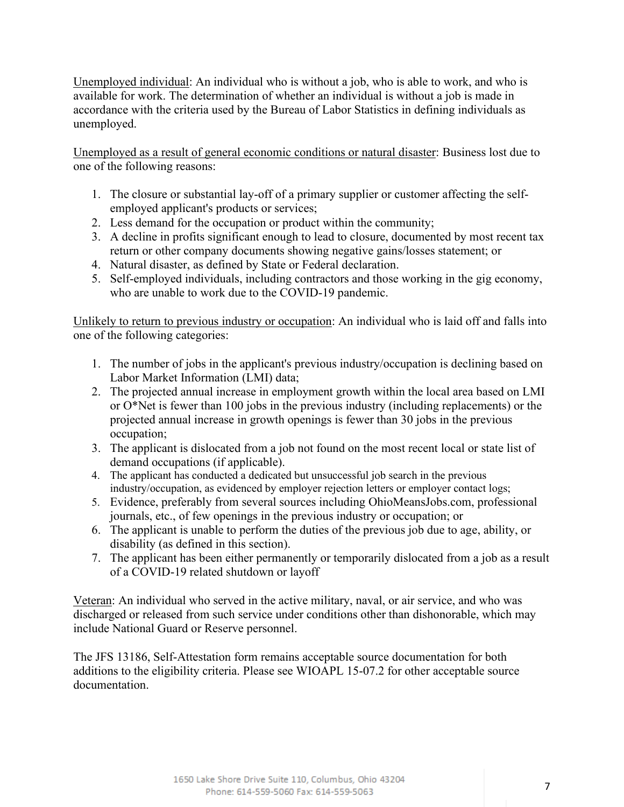Unemployed individual: An individual who is without a job, who is able to work, and who is available for work. The determination of whether an individual is without a job is made in accordance with the criteria used by the Bureau of Labor Statistics in defining individuals as unemployed.

Unemployed as a result of general economic conditions or natural disaster: Business lost due to one of the following reasons:

- 1. The closure or substantial lay-off of a primary supplier or customer affecting the selfemployed applicant's products or services;
- 2. Less demand for the occupation or product within the community;
- 3. A decline in profits significant enough to lead to closure, documented by most recent tax return or other company documents showing negative gains/losses statement; or
- 4. Natural disaster, as defined by State or Federal declaration.
- 5. Self-employed individuals, including contractors and those working in the gig economy, who are unable to work due to the COVID-19 pandemic.

Unlikely to return to previous industry or occupation: An individual who is laid off and falls into one of the following categories:

- 1. The number of jobs in the applicant's previous industry/occupation is declining based on Labor Market Information (LMI) data;
- 2. The projected annual increase in employment growth within the local area based on LMI or O\*Net is fewer than 100 jobs in the previous industry (including replacements) or the projected annual increase in growth openings is fewer than 30 jobs in the previous occupation;
- 3. The applicant is dislocated from a job not found on the most recent local or state list of demand occupations (if applicable).
- 4. The applicant has conducted a dedicated but unsuccessful job search in the previous industry/occupation, as evidenced by employer rejection letters or employer contact logs;
- 5. Evidence, preferably from several sources including OhioMeansJobs.com, professional journals, etc., of few openings in the previous industry or occupation; or
- 6. The applicant is unable to perform the duties of the previous job due to age, ability, or disability (as defined in this section).
- 7. The applicant has been either permanently or temporarily dislocated from a job as a result of a COVID-19 related shutdown or layoff

Veteran: An individual who served in the active military, naval, or air service, and who was discharged or released from such service under conditions other than dishonorable, which may include National Guard or Reserve personnel.

The JFS 13186, Self-Attestation form remains acceptable source documentation for both additions to the eligibility criteria. Please see WIOAPL 15-07.2 for other acceptable source documentation.